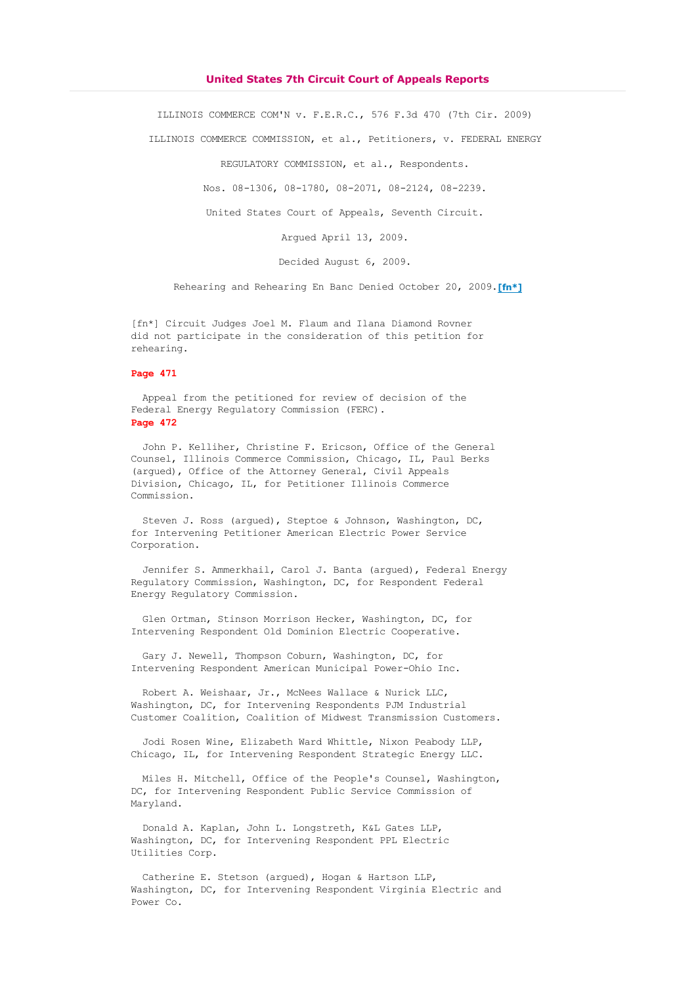# **United States 7th Circuit Court of Appeals Reports**

ILLINOIS COMMERCE COM'N v. F.E.R.C., 576 F.3d 470 (7th Cir. 2009)

ILLINOIS COMMERCE COMMISSION, et al., Petitioners, v. FEDERAL ENERGY

REGULATORY COMMISSION, et al., Respondents.

Nos. 08-1306, 08-1780, 08-2071, 08-2124, 08-2239.

United States Court of Appeals, Seventh Circuit.

Argued April 13, 2009.

Decided August 6, 2009.

Rehearing and Rehearing En Banc Denied October 20, 2009.**[fn\*]**

[fn\*] Circuit Judges Joel M. Flaum and Ilana Diamond Rovner did not participate in the consideration of this petition for rehearing.

# **Page 471**

 Appeal from the petitioned for review of decision of the Federal Energy Regulatory Commission (FERC). **Page 472**

 John P. Kelliher, Christine F. Ericson, Office of the General Counsel, Illinois Commerce Commission, Chicago, IL, Paul Berks (argued), Office of the Attorney General, Civil Appeals Division, Chicago, IL, for Petitioner Illinois Commerce Commission.

 Steven J. Ross (argued), Steptoe & Johnson, Washington, DC, for Intervening Petitioner American Electric Power Service Corporation.

Jennifer S. Ammerkhail, Carol J. Banta (argued), Federal Energy Regulatory Commission, Washington, DC, for Respondent Federal Energy Regulatory Commission.

 Glen Ortman, Stinson Morrison Hecker, Washington, DC, for Intervening Respondent Old Dominion Electric Cooperative.

 Gary J. Newell, Thompson Coburn, Washington, DC, for Intervening Respondent American Municipal Power-Ohio Inc.

 Robert A. Weishaar, Jr., McNees Wallace & Nurick LLC, Washington, DC, for Intervening Respondents PJM Industrial Customer Coalition, Coalition of Midwest Transmission Customers.

 Jodi Rosen Wine, Elizabeth Ward Whittle, Nixon Peabody LLP, Chicago, IL, for Intervening Respondent Strategic Energy LLC.

 Miles H. Mitchell, Office of the People's Counsel, Washington, DC, for Intervening Respondent Public Service Commission of Maryland.

 Donald A. Kaplan, John L. Longstreth, K&L Gates LLP, Washington, DC, for Intervening Respondent PPL Electric Utilities Corp.

 Catherine E. Stetson (argued), Hogan & Hartson LLP, Washington, DC, for Intervening Respondent Virginia Electric and Power Co.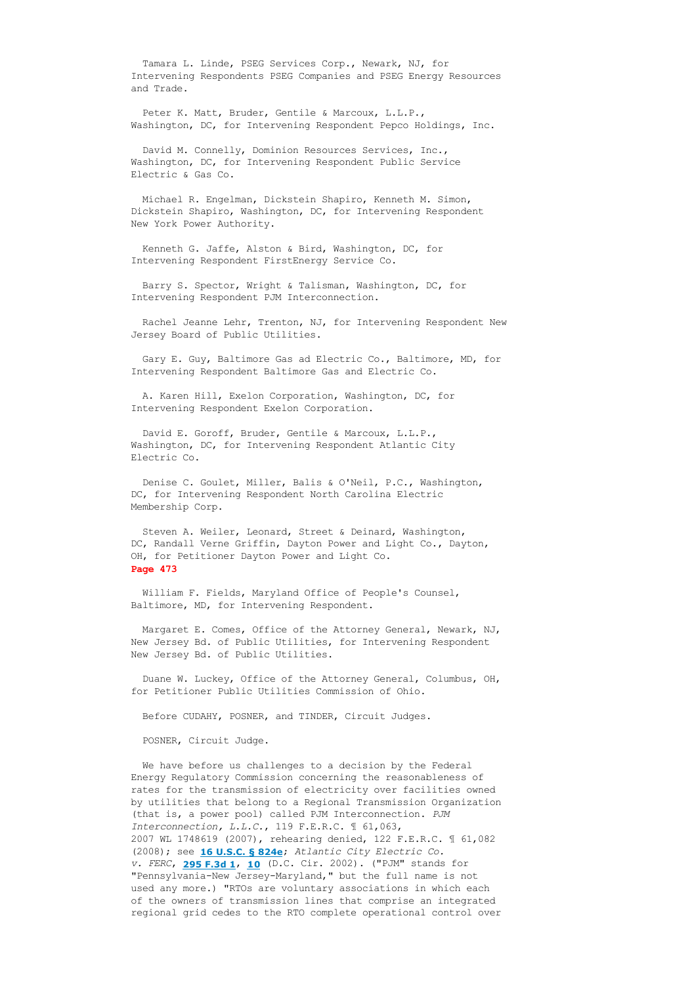Tamara L. Linde, PSEG Services Corp., Newark, NJ, for Intervening Respondents PSEG Companies and PSEG Energy Resources and Trade.

 Peter K. Matt, Bruder, Gentile & Marcoux, L.L.P., Washington, DC, for Intervening Respondent Pepco Holdings, Inc.

 David M. Connelly, Dominion Resources Services, Inc., Washington, DC, for Intervening Respondent Public Service Electric & Gas Co.

 Michael R. Engelman, Dickstein Shapiro, Kenneth M. Simon, Dickstein Shapiro, Washington, DC, for Intervening Respondent New York Power Authority.

 Kenneth G. Jaffe, Alston & Bird, Washington, DC, for Intervening Respondent FirstEnergy Service Co.

 Barry S. Spector, Wright & Talisman, Washington, DC, for Intervening Respondent PJM Interconnection.

 Rachel Jeanne Lehr, Trenton, NJ, for Intervening Respondent New Jersey Board of Public Utilities.

 Gary E. Guy, Baltimore Gas ad Electric Co., Baltimore, MD, for Intervening Respondent Baltimore Gas and Electric Co.

 A. Karen Hill, Exelon Corporation, Washington, DC, for Intervening Respondent Exelon Corporation.

 David E. Goroff, Bruder, Gentile & Marcoux, L.L.P., Washington, DC, for Intervening Respondent Atlantic City Electric Co.

 Denise C. Goulet, Miller, Balis & O'Neil, P.C., Washington, DC, for Intervening Respondent North Carolina Electric Membership Corp.

 Steven A. Weiler, Leonard, Street & Deinard, Washington, DC, Randall Verne Griffin, Dayton Power and Light Co., Dayton, OH, for Petitioner Dayton Power and Light Co. **Page 473**

 William F. Fields, Maryland Office of People's Counsel, Baltimore, MD, for Intervening Respondent.

 Margaret E. Comes, Office of the Attorney General, Newark, NJ, New Jersey Bd. of Public Utilities, for Intervening Respondent New Jersey Bd. of Public Utilities.

 Duane W. Luckey, Office of the Attorney General, Columbus, OH, for Petitioner Public Utilities Commission of Ohio.

Before CUDAHY, POSNER, and TINDER, Circuit Judges.

POSNER, Circuit Judge.

 We have before us challenges to a decision by the Federal Energy Regulatory Commission concerning the reasonableness of rates for the transmission of electricity over facilities owned by utilities that belong to a Regional Transmission Organization (that is, a power pool) called PJM Interconnection. *PJM Interconnection, L.L.C.*, 119 F.E.R.C. ¶ 61,063, 2007 WL 1748619 (2007), rehearing denied, 122 F.E.R.C. ¶ 61,082 (2008); see **[16 U.S.C. § 824e](http://www.loislaw.com/pns/doclink.htp?dockey=7631024@USCODE&alias=USCODE&cite=16+U.S.C.+%A7+824e)**; *Atlantic City Electric Co. v. FERC*, **[295 F.3d 1](http://www.loislaw.com/pns/doclink.htp?alias=FDCCASE&cite=295+F.3d+1)**, **[10](http://www.loislaw.com/pns/doclink.htp?alias=FDCCASE&cite=295+F.3d+1#PG10)** (D.C. Cir. 2002). ("PJM" stands for "Pennsylvania-New Jersey-Maryland," but the full name is not used any more.) "RTOs are voluntary associations in which each of the owners of transmission lines that comprise an integrated regional grid cedes to the RTO complete operational control over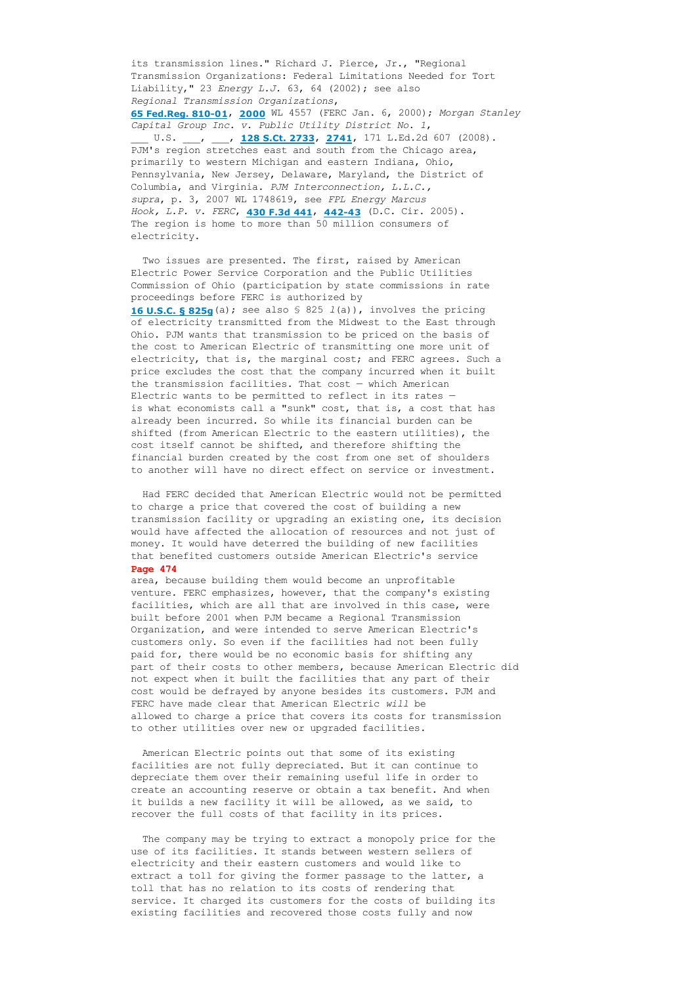its transmission lines." Richard J. Pierce, Jr., "Regional Transmission Organizations: Federal Limitations Needed for Tort Liability," 23 *Energy L.J.* 63, 64 (2002); see also *Regional Transmission Organizations*,

**65 Fed.Reg. 810-01, [2000](http://www.loislaw.com/pns/doclink.htp?dockey=4104571@USFR00&alias=USFR00&cite=65+FR+810#PG2000)** WL 4557 (FERC Jan. 6, 2000); Morgan Stanley *Capital Group Inc. v. Public Utility District No. 1*, \_\_\_ U.S. \_\_\_, \_\_\_, **[128 S.Ct. 2733](http://www.loislaw.com/pns/doclink.htp?alias=USCASE&cite=128+S.Ct.+2733)**, **[2741](http://www.loislaw.com/pns/doclink.htp?alias=USCASE&cite=128+S.Ct.+2733#PG2741)**, 171 L.Ed.2d 607 (2008). PJM's region stretches east and south from the Chicago area, primarily to western Michigan and eastern Indiana, Ohio, Pennsylvania, New Jersey, Delaware, Maryland, the District of Columbia, and Virginia. *PJM Interconnection, L.L.C.,*

*supra*, p. 3, 2007 WL 1748619, see *FPL Energy Marcus Hook, L.P. v. FERC*, **[430 F.3d 441](http://www.loislaw.com/pns/doclink.htp?alias=FDCCASE&cite=430+F.3d+441)**, **[44243](http://www.loislaw.com/pns/doclink.htp?alias=FDCCASE&cite=430+F.3d+441#PG442)** (D.C. Cir. 2005). The region is home to more than 50 million consumers of electricity.

 Two issues are presented. The first, raised by American Electric Power Service Corporation and the Public Utilities Commission of Ohio (participation by state commissions in rate proceedings before FERC is authorized by **[16 U.S.C. § 825g](http://www.loislaw.com/pns/doclink.htp?dockey=7631041@USCODE&alias=USCODE&cite=16+U.S.C.+%A7+825g)**(a); see also § 825 *l*(a)), involves the pricing of electricity transmitted from the Midwest to the East through Ohio. PJM wants that transmission to be priced on the basis of the cost to American Electric of transmitting one more unit of electricity, that is, the marginal cost; and FERC agrees. Such a price excludes the cost that the company incurred when it built the transmission facilities. That cost — which American Electric wants to be permitted to reflect in its rates is what economists call a "sunk" cost, that is, a cost that has already been incurred. So while its financial burden can be shifted (from American Electric to the eastern utilities), the cost itself cannot be shifted, and therefore shifting the financial burden created by the cost from one set of shoulders to another will have no direct effect on service or investment.

 Had FERC decided that American Electric would not be permitted to charge a price that covered the cost of building a new transmission facility or upgrading an existing one, its decision would have affected the allocation of resources and not just of money. It would have deterred the building of new facilities that benefited customers outside American Electric's service **Page 474**

area, because building them would become an unprofitable venture. FERC emphasizes, however, that the company's existing facilities, which are all that are involved in this case, were built before 2001 when PJM became a Regional Transmission Organization, and were intended to serve American Electric's customers only. So even if the facilities had not been fully paid for, there would be no economic basis for shifting any part of their costs to other members, because American Electric did not expect when it built the facilities that any part of their cost would be defrayed by anyone besides its customers. PJM and FERC have made clear that American Electric *will* be allowed to charge a price that covers its costs for transmission to other utilities over new or upgraded facilities.

 American Electric points out that some of its existing facilities are not fully depreciated. But it can continue to depreciate them over their remaining useful life in order to create an accounting reserve or obtain a tax benefit. And when it builds a new facility it will be allowed, as we said, to recover the full costs of that facility in its prices.

 The company may be trying to extract a monopoly price for the use of its facilities. It stands between western sellers of electricity and their eastern customers and would like to extract a toll for giving the former passage to the latter, a toll that has no relation to its costs of rendering that service. It charged its customers for the costs of building its existing facilities and recovered those costs fully and now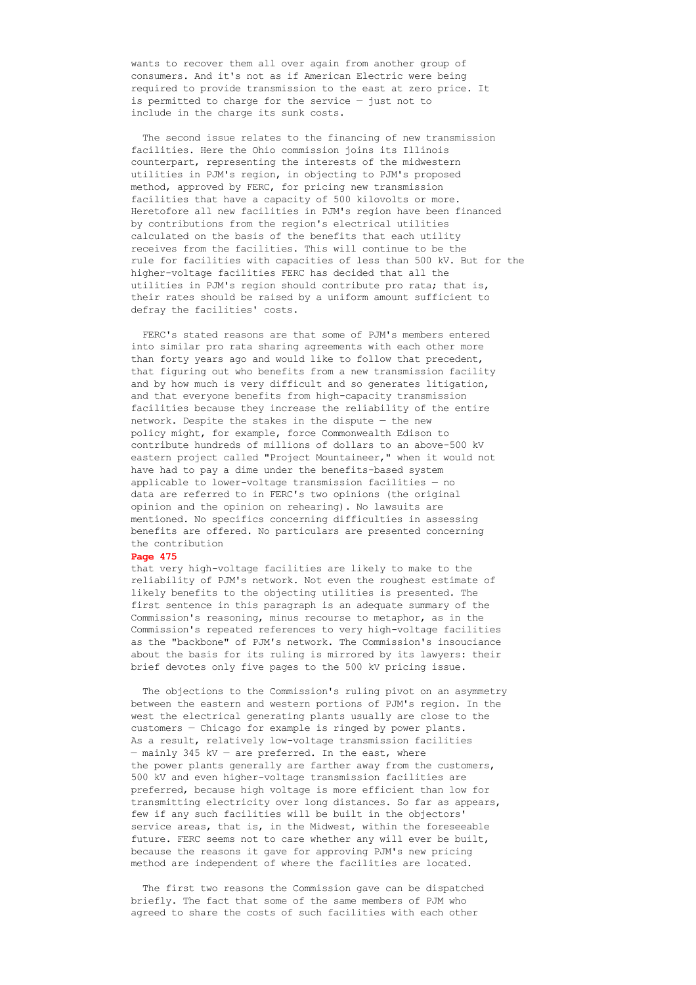wants to recover them all over again from another group of consumers. And it's not as if American Electric were being required to provide transmission to the east at zero price. It is permitted to charge for the service — just not to include in the charge its sunk costs.

 The second issue relates to the financing of new transmission facilities. Here the Ohio commission joins its Illinois counterpart, representing the interests of the midwestern utilities in PJM's region, in objecting to PJM's proposed method, approved by FERC, for pricing new transmission facilities that have a capacity of 500 kilovolts or more. Heretofore all new facilities in PJM's region have been financed by contributions from the region's electrical utilities calculated on the basis of the benefits that each utility receives from the facilities. This will continue to be the rule for facilities with capacities of less than 500 kV. But for the higher-voltage facilities FERC has decided that all the utilities in PJM's region should contribute pro rata; that is, their rates should be raised by a uniform amount sufficient to defray the facilities' costs.

 FERC's stated reasons are that some of PJM's members entered into similar pro rata sharing agreements with each other more than forty years ago and would like to follow that precedent, that figuring out who benefits from a new transmission facility and by how much is very difficult and so generates litigation, and that everyone benefits from high-capacity transmission facilities because they increase the reliability of the entire network. Despite the stakes in the dispute — the new policy might, for example, force Commonwealth Edison to contribute hundreds of millions of dollars to an above-500 kV eastern project called "Project Mountaineer," when it would not have had to pay a dime under the benefits-based system applicable to lower-voltage transmission facilities  $-$  no data are referred to in FERC's two opinions (the original opinion and the opinion on rehearing). No lawsuits are mentioned. No specifics concerning difficulties in assessing benefits are offered. No particulars are presented concerning the contribution

#### **Page 475**

that very high-voltage facilities are likely to make to the reliability of PJM's network. Not even the roughest estimate of likely benefits to the objecting utilities is presented. The first sentence in this paragraph is an adequate summary of the Commission's reasoning, minus recourse to metaphor, as in the Commission's repeated references to very high-voltage facilities as the "backbone" of PJM's network. The Commission's insouciance about the basis for its ruling is mirrored by its lawyers: their brief devotes only five pages to the 500 kV pricing issue.

 The objections to the Commission's ruling pivot on an asymmetry between the eastern and western portions of PJM's region. In the west the electrical generating plants usually are close to the customers — Chicago for example is ringed by power plants. As a result, relatively low-voltage transmission facilities  $-$  mainly 345 kV  $-$  are preferred. In the east, where the power plants generally are farther away from the customers, 500 kV and even higher-voltage transmission facilities are preferred, because high voltage is more efficient than low for transmitting electricity over long distances. So far as appears, few if any such facilities will be built in the objectors' service areas, that is, in the Midwest, within the foreseeable future. FERC seems not to care whether any will ever be built, because the reasons it gave for approving PJM's new pricing method are independent of where the facilities are located.

 The first two reasons the Commission gave can be dispatched briefly. The fact that some of the same members of PJM who agreed to share the costs of such facilities with each other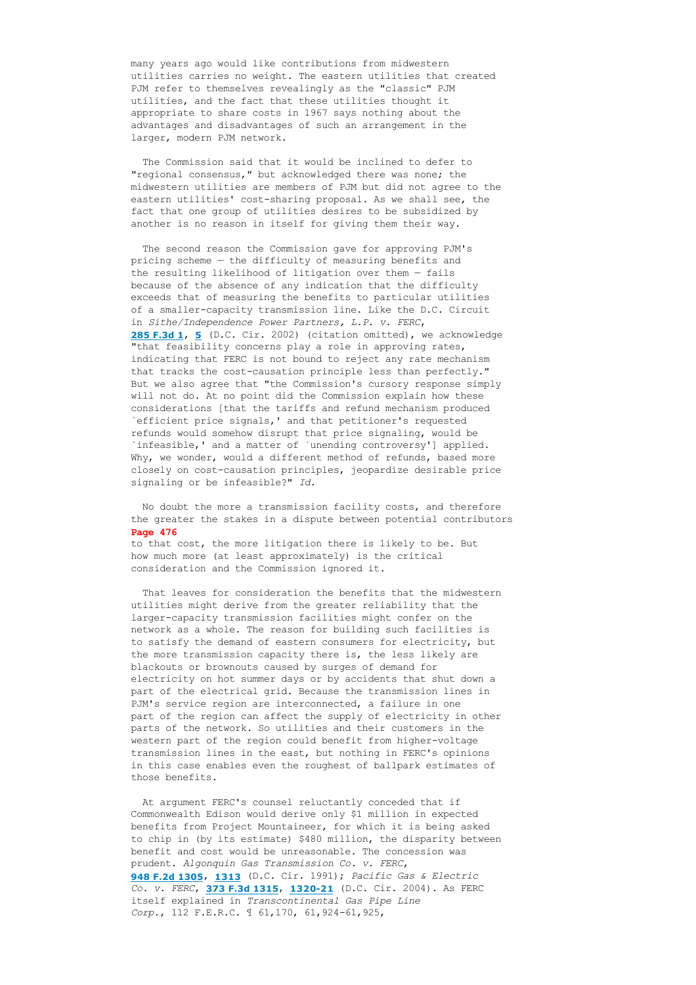many years ago would like contributions from midwestern utilities carries no weight. The eastern utilities that created PJM refer to themselves revealingly as the "classic" PJM utilities, and the fact that these utilities thought it appropriate to share costs in 1967 says nothing about the advantages and disadvantages of such an arrangement in the larger, modern PJM network.

 The Commission said that it would be inclined to defer to "regional consensus," but acknowledged there was none; the midwestern utilities are members of PJM but did not agree to the eastern utilities' cost-sharing proposal. As we shall see, the fact that one group of utilities desires to be subsidized by another is no reason in itself for giving them their way.

 The second reason the Commission gave for approving PJM's pricing scheme — the difficulty of measuring benefits and the resulting likelihood of litigation over them — fails because of the absence of any indication that the difficulty exceeds that of measuring the benefits to particular utilities of a smaller-capacity transmission line. Like the D.C. Circuit in *Sithe/Independence Power Partners, L.P. v. FERC*, **[285 F.3d 1](http://www.loislaw.com/pns/doclink.htp?alias=FDCCASE&cite=285+F.3d+1)**, **[5](http://www.loislaw.com/pns/doclink.htp?alias=FDCCASE&cite=285+F.3d+1#PG5)** (D.C. Cir. 2002) (citation omitted), we acknowledge "that feasibility concerns play a role in approving rates, indicating that FERC is not bound to reject any rate mechanism that tracks the cost-causation principle less than perfectly." But we also agree that "the Commission's cursory response simply will not do. At no point did the Commission explain how these considerations [that the tariffs and refund mechanism produced `efficient price signals,' and that petitioner's requested refunds would somehow disrupt that price signaling, would be `infeasible,' and a matter of `unending controversy'] applied. Why, we wonder, would a different method of refunds, based more closely on cost-causation principles, jeopardize desirable price signaling or be infeasible?" *Id.*

 No doubt the more a transmission facility costs, and therefore the greater the stakes in a dispute between potential contributors **Page 476**

to that cost, the more litigation there is likely to be. But how much more (at least approximately) is the critical consideration and the Commission ignored it.

 That leaves for consideration the benefits that the midwestern utilities might derive from the greater reliability that the larger-capacity transmission facilities might confer on the network as a whole. The reason for building such facilities is to satisfy the demand of eastern consumers for electricity, but the more transmission capacity there is, the less likely are blackouts or brownouts caused by surges of demand for electricity on hot summer days or by accidents that shut down a part of the electrical grid. Because the transmission lines in PJM's service region are interconnected, a failure in one part of the region can affect the supply of electricity in other parts of the network. So utilities and their customers in the western part of the region could benefit from higher-voltage transmission lines in the east, but nothing in FERC's opinions in this case enables even the roughest of ballpark estimates of those benefits.

 At argument FERC's counsel reluctantly conceded that if Commonwealth Edison would derive only \$1 million in expected benefits from Project Mountaineer, for which it is being asked to chip in (by its estimate) \$480 million, the disparity between benefit and cost would be unreasonable. The concession was prudent. *Algonquin Gas Transmission Co. v. FERC*, **[948 F.2d 1305](http://www.loislaw.com/pns/doclink.htp?alias=FDCCASE&cite=948+F.2d+1305)**, **[1313](http://www.loislaw.com/pns/doclink.htp?alias=FDCCASE&cite=948+F.2d+1305#PG1313)** (D.C. Cir. 1991); *Pacific Gas & Electric Co. v. FERC*, **[373 F.3d 1315](http://www.loislaw.com/pns/doclink.htp?alias=FDCCASE&cite=373+F.3d+1315)**, **[132021](http://www.loislaw.com/pns/doclink.htp?alias=FDCCASE&cite=373+F.3d+1315#PG1320)** (D.C. Cir. 2004). As FERC itself explained in *Transcontinental Gas Pipe Line Corp.*, 112 F.E.R.C. 1 61, 170, 61, 924-61, 925,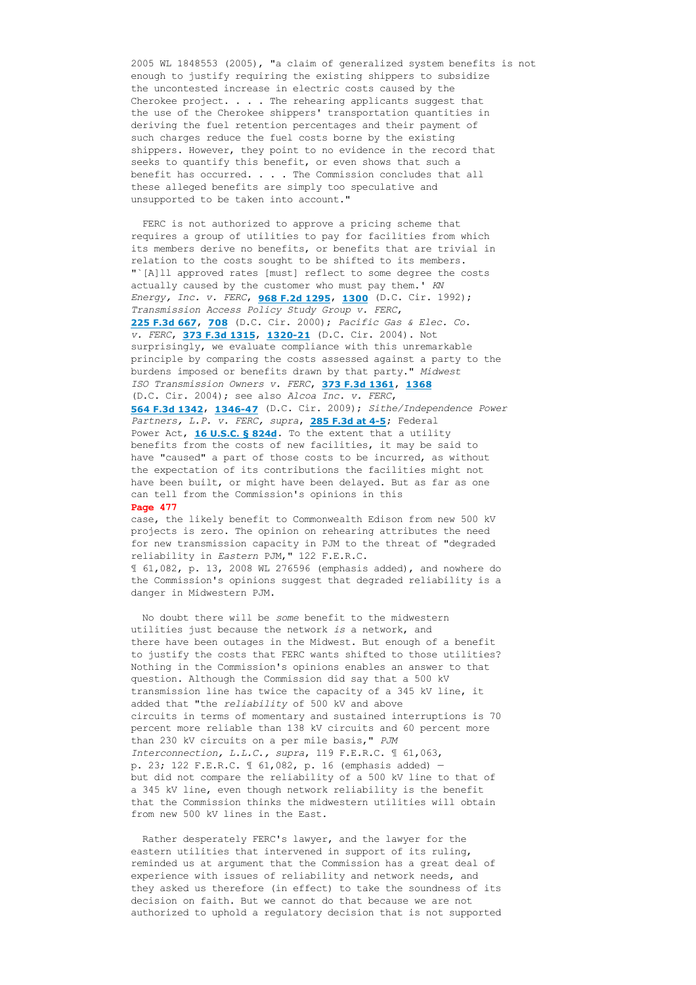2005 WL 1848553 (2005), "a claim of generalized system benefits is not enough to justify requiring the existing shippers to subsidize the uncontested increase in electric costs caused by the Cherokee project. . . . The rehearing applicants suggest that the use of the Cherokee shippers' transportation quantities in deriving the fuel retention percentages and their payment of such charges reduce the fuel costs borne by the existing shippers. However, they point to no evidence in the record that seeks to quantify this benefit, or even shows that such a benefit has occurred. . . . The Commission concludes that all these alleged benefits are simply too speculative and unsupported to be taken into account."

 FERC is not authorized to approve a pricing scheme that requires a group of utilities to pay for facilities from which its members derive no benefits, or benefits that are trivial in relation to the costs sought to be shifted to its members. "`[A]ll approved rates [must] reflect to some degree the costs actually caused by the customer who must pay them.' *KN Energy, Inc. v. FERC*, **[968 F.2d 1295](http://www.loislaw.com/pns/doclink.htp?alias=FDCCASE&cite=968+F.2d+1295)**, **[1300](http://www.loislaw.com/pns/doclink.htp?alias=FDCCASE&cite=968+F.2d+1295#PG1300)** (D.C. Cir. 1992); *Transmission Access Policy Study Group v. FERC*, **[225 F.3d 667](http://www.loislaw.com/pns/doclink.htp?alias=FDCCASE&cite=225+F.3d+667)**, **[708](http://www.loislaw.com/pns/doclink.htp?alias=FDCCASE&cite=225+F.3d+667#PG708)** (D.C. Cir. 2000); *Pacific Gas & Elec. Co. v. FERC*, **[373 F.3d 1315](http://www.loislaw.com/pns/doclink.htp?alias=FDCCASE&cite=373+F.3d+1315)**, **1320-21** (D.C. Cir. 2004). Not surprisingly, we evaluate compliance with this unremarkable principle by comparing the costs assessed against a party to the burdens imposed or benefits drawn by that party." *Midwest ISO Transmission Owners v. FERC*, **[373 F.3d 1361](http://www.loislaw.com/pns/doclink.htp?alias=FDCCASE&cite=373+F.3d+1361)**, **[1368](http://www.loislaw.com/pns/doclink.htp?alias=FDCCASE&cite=373+F.3d+1361#PG1368)** (D.C. Cir. 2004); see also *Alcoa Inc. v. FERC*, **[564 F.3d 1342](http://www.loislaw.com/pns/doclink.htp?alias=FDCCASE&cite=564+F.3d+1342)**, **[134647](http://www.loislaw.com/pns/doclink.htp?alias=FDCCASE&cite=564+F.3d+1342#PG1346)** (D.C. Cir. 2009); *Sithe/Independence Power Partners, L.P. v. FERC, supra*, **[285 F.3d at 45](http://www.loislaw.com/pns/doclink.htp?alias=FDCCASE&cite=285+F.3d+1#PG4)**; Federal Power Act, **[16 U.S.C. § 824d](http://www.loislaw.com/pns/doclink.htp?dockey=7631023@USCODE&alias=USCODE&cite=16+U.S.C.+%A7+824d)**. To the extent that a utility benefits from the costs of new facilities, it may be said to have "caused" a part of those costs to be incurred, as without the expectation of its contributions the facilities might not have been built, or might have been delayed. But as far as one can tell from the Commission's opinions in this **Page 477**

case, the likely benefit to Commonwealth Edison from new 500 kV projects is zero. The opinion on rehearing attributes the need for new transmission capacity in PJM to the threat of "degraded reliability in *Eastern* PJM," 122 F.E.R.C. ¶ 61,082, p. 13, 2008 WL 276596 (emphasis added), and nowhere do the Commission's opinions suggest that degraded reliability is a danger in Midwestern PJM.

 No doubt there will be *some* benefit to the midwestern utilities just because the network *is* a network, and there have been outages in the Midwest. But enough of a benefit to justify the costs that FERC wants shifted to those utilities? Nothing in the Commission's opinions enables an answer to that question. Although the Commission did say that a 500 kV transmission line has twice the capacity of a 345 kV line, it added that "the *reliability* of 500 kV and above circuits in terms of momentary and sustained interruptions is 70 percent more reliable than 138 kV circuits and 60 percent more than 230 kV circuits on a per mile basis," *PJM Interconnection, L.L.C., supra*, 119 F.E.R.C. ¶ 61,063, p. 23; 122 F.E.R.C. ¶ 61,082, p. 16 (emphasis added) but did not compare the reliability of a 500 kV line to that of a 345 kV line, even though network reliability is the benefit that the Commission thinks the midwestern utilities will obtain from new 500 kV lines in the East.

 Rather desperately FERC's lawyer, and the lawyer for the eastern utilities that intervened in support of its ruling, reminded us at argument that the Commission has a great deal of experience with issues of reliability and network needs, and they asked us therefore (in effect) to take the soundness of its decision on faith. But we cannot do that because we are not authorized to uphold a regulatory decision that is not supported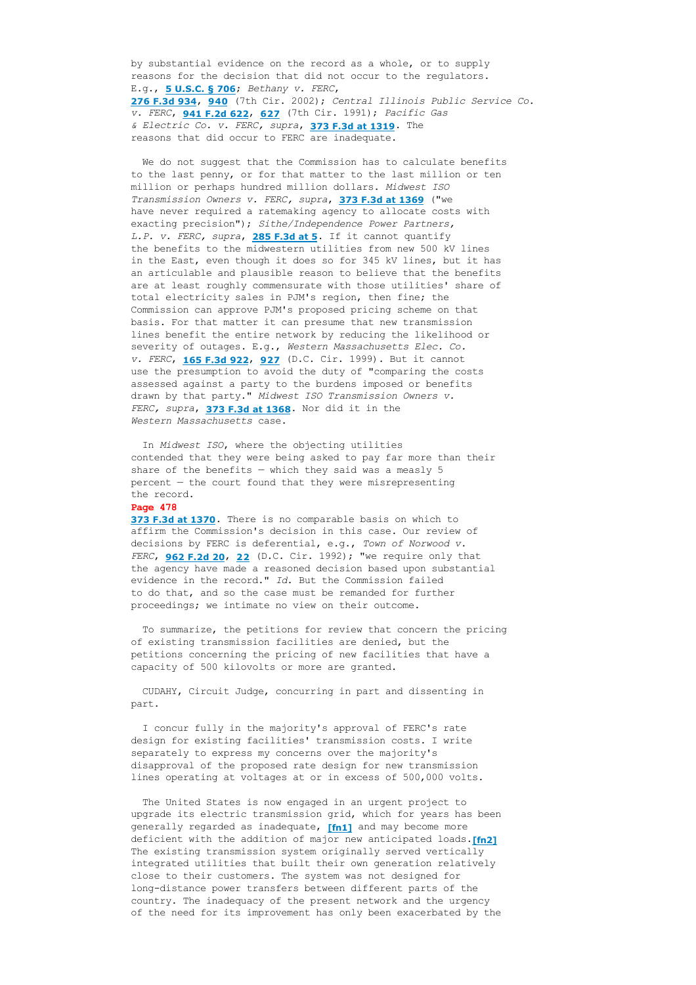by substantial evidence on the record as a whole, or to supply reasons for the decision that did not occur to the regulators. E.g., **[5 U.S.C. § 706](http://www.loislaw.com/pns/doclink.htp?dockey=7615030@USCODE&alias=USCODE&cite=5+U.S.C.+%A7+706)**; *Bethany v. FERC*, **[276 F.3d 934](http://www.loislaw.com/pns/doclink.htp?alias=F7CASE&cite=276+F.3d+934)**, **[940](http://www.loislaw.com/pns/doclink.htp?alias=F7CASE&cite=276+F.3d+934#PG940)** (7th Cir. 2002); *Central Illinois Public Service Co. v. FERC*, **[941 F.2d 622](http://www.loislaw.com/pns/doclink.htp?alias=F7CASE&cite=941+F.2d+622)**, **[627](http://www.loislaw.com/pns/doclink.htp?alias=F7CASE&cite=941+F.2d+622#PG627)** (7th Cir. 1991); *Pacific Gas & Electric Co. v. FERC, supra*, **[373 F.3d at 1319](http://www.loislaw.com/pns/doclink.htp?alias=FDCCASE&cite=373+F.3d+1315#PG1319)**. The reasons that did occur to FERC are inadequate.

 We do not suggest that the Commission has to calculate benefits to the last penny, or for that matter to the last million or ten million or perhaps hundred million dollars. *Midwest ISO Transmission Owners v. FERC, supra*, **[373 F.3d at 1369](http://www.loislaw.com/pns/doclink.htp?alias=FDCCASE&cite=373+F.3d+1361#PG1369)** ("we have never required a ratemaking agency to allocate costs with exacting precision"); *Sithe/Independence Power Partners, L.P. v. FERC, supra*, **[285 F.3d at 5](http://www.loislaw.com/pns/doclink.htp?alias=FDCCASE&cite=285+F.3d+1#PG5)**. If it cannot quantify the benefits to the midwestern utilities from new 500 kV lines in the East, even though it does so for 345 kV lines, but it has an articulable and plausible reason to believe that the benefits are at least roughly commensurate with those utilities' share of total electricity sales in PJM's region, then fine; the Commission can approve PJM's proposed pricing scheme on that basis. For that matter it can presume that new transmission lines benefit the entire network by reducing the likelihood or severity of outages. E.g., *Western Massachusetts Elec. Co. v. FERC*, **[165 F.3d 922](http://www.loislaw.com/pns/doclink.htp?alias=FDCCASE&cite=165+F.3d+922)**, **[927](http://www.loislaw.com/pns/doclink.htp?alias=FDCCASE&cite=165+F.3d+922#PG927)** (D.C. Cir. 1999). But it cannot use the presumption to avoid the duty of "comparing the costs assessed against a party to the burdens imposed or benefits drawn by that party." *Midwest ISO Transmission Owners v. FERC, supra*, **[373 F.3d at 1368](http://www.loislaw.com/pns/doclink.htp?alias=FDCCASE&cite=373+F.3d+1361#PG1368)**. Nor did it in the *Western Massachusetts* case.

 In *Midwest ISO*, where the objecting utilities contended that they were being asked to pay far more than their share of the benefits  $-$  which they said was a measly 5 percent — the court found that they were misrepresenting the record.

## **Page 478**

**[373 F.3d at 1370](http://www.loislaw.com/pns/doclink.htp?alias=FDCCASE&cite=373+F.3d+1361#PG1370)**. There is no comparable basis on which to affirm the Commission's decision in this case. Our review of decisions by FERC is deferential, e.g., *Town of Norwood v. FERC*, **[962 F.2d 20](http://www.loislaw.com/pns/doclink.htp?alias=FDCCASE&cite=962+F.2d+20)**, **[22](http://www.loislaw.com/pns/doclink.htp?alias=FDCCASE&cite=962+F.2d+20#PG22)** (D.C. Cir. 1992); "we require only that the agency have made a reasoned decision based upon substantial evidence in the record." *Id.* But the Commission failed to do that, and so the case must be remanded for further proceedings; we intimate no view on their outcome.

 To summarize, the petitions for review that concern the pricing of existing transmission facilities are denied, but the petitions concerning the pricing of new facilities that have a capacity of 500 kilovolts or more are granted.

 CUDAHY, Circuit Judge, concurring in part and dissenting in part.

 I concur fully in the majority's approval of FERC's rate design for existing facilities' transmission costs. I write separately to express my concerns over the majority's disapproval of the proposed rate design for new transmission lines operating at voltages at or in excess of 500,000 volts.

 The United States is now engaged in an urgent project to upgrade its electric transmission grid, which for years has been generally regarded as inadequate, **[fn1]** and may become more deficient with the addition of major new anticipated loads.**[fn2]** The existing transmission system originally served vertically integrated utilities that built their own generation relatively close to their customers. The system was not designed for long-distance power transfers between different parts of the country. The inadequacy of the present network and the urgency of the need for its improvement has only been exacerbated by the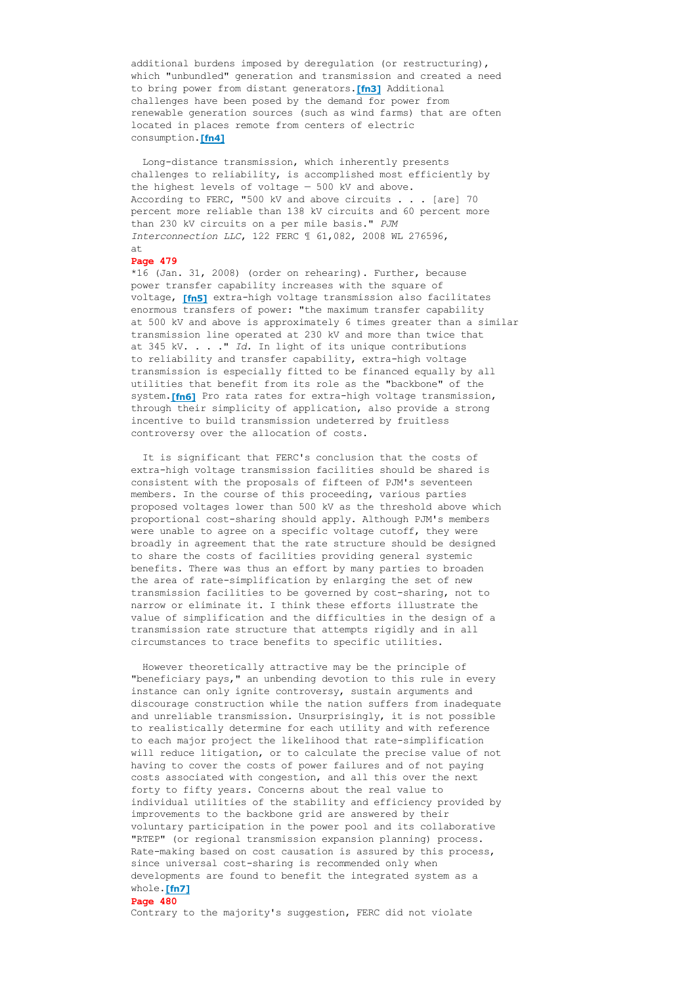additional burdens imposed by deregulation (or restructuring), which "unbundled" generation and transmission and created a need to bring power from distant generators.**[fn3]** Additional challenges have been posed by the demand for power from renewable generation sources (such as wind farms) that are often located in places remote from centers of electric consumption.**[fn4]**

Long-distance transmission, which inherently presents challenges to reliability, is accomplished most efficiently by the highest levels of voltage — 500 kV and above. According to FERC, "500 kV and above circuits . . . [are] 70 percent more reliable than 138 kV circuits and 60 percent more than 230 kV circuits on a per mile basis." *PJM Interconnection LLC*, 122 FERC ¶ 61,082, 2008 WL 276596, at

### **Page 479**

\*16 (Jan. 31, 2008) (order on rehearing). Further, because power transfer capability increases with the square of voltage, [fn5] extra-high voltage transmission also facilitates enormous transfers of power: "the maximum transfer capability at 500 kV and above is approximately 6 times greater than a similar transmission line operated at 230 kV and more than twice that at 345 kV. . . ." *Id.* In light of its unique contributions to reliability and transfer capability, extra-high voltage transmission is especially fitted to be financed equally by all utilities that benefit from its role as the "backbone" of the system. [fn6] Pro rata rates for extra-high voltage transmission, through their simplicity of application, also provide a strong incentive to build transmission undeterred by fruitless controversy over the allocation of costs.

 It is significant that FERC's conclusion that the costs of extra-high voltage transmission facilities should be shared is consistent with the proposals of fifteen of PJM's seventeen members. In the course of this proceeding, various parties proposed voltages lower than 500 kV as the threshold above which proportional cost-sharing should apply. Although PJM's members were unable to agree on a specific voltage cutoff, they were broadly in agreement that the rate structure should be designed to share the costs of facilities providing general systemic benefits. There was thus an effort by many parties to broaden the area of rate-simplification by enlarging the set of new transmission facilities to be governed by cost-sharing, not to narrow or eliminate it. I think these efforts illustrate the value of simplification and the difficulties in the design of a transmission rate structure that attempts rigidly and in all circumstances to trace benefits to specific utilities.

 However theoretically attractive may be the principle of "beneficiary pays," an unbending devotion to this rule in every instance can only ignite controversy, sustain arguments and discourage construction while the nation suffers from inadequate and unreliable transmission. Unsurprisingly, it is not possible to realistically determine for each utility and with reference to each major project the likelihood that rate-simplification will reduce litigation, or to calculate the precise value of not having to cover the costs of power failures and of not paying costs associated with congestion, and all this over the next forty to fifty years. Concerns about the real value to individual utilities of the stability and efficiency provided by improvements to the backbone grid are answered by their voluntary participation in the power pool and its collaborative "RTEP" (or regional transmission expansion planning) process. Rate-making based on cost causation is assured by this process, since universal cost-sharing is recommended only when developments are found to benefit the integrated system as a whole.**[fn7]**

### **Page 480**

Contrary to the majority's suggestion, FERC did not violate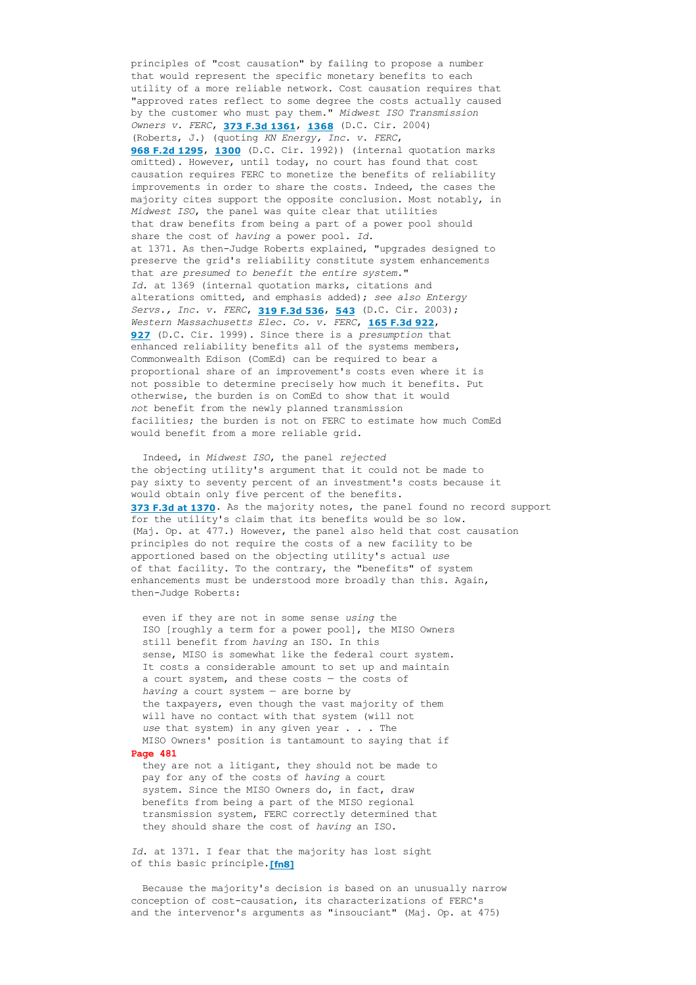principles of "cost causation" by failing to propose a number that would represent the specific monetary benefits to each utility of a more reliable network. Cost causation requires that "approved rates reflect to some degree the costs actually caused by the customer who must pay them." *Midwest ISO Transmission Owners v. FERC*, **[373 F.3d 1361](http://www.loislaw.com/pns/doclink.htp?alias=FDCCASE&cite=373+F.3d+1361)**, **[1368](http://www.loislaw.com/pns/doclink.htp?alias=FDCCASE&cite=373+F.3d+1361#PG1368)** (D.C. Cir. 2004) (Roberts, J.) (quoting *KN Energy, Inc. v. FERC*, **[968 F.2d 1295](http://www.loislaw.com/pns/doclink.htp?alias=FDCCASE&cite=968+F.2d+1295)**, **[1300](http://www.loislaw.com/pns/doclink.htp?alias=FDCCASE&cite=968+F.2d+1295#PG1300)** (D.C. Cir. 1992)) (internal quotation marks omitted). However, until today, no court has found that cost causation requires FERC to monetize the benefits of reliability improvements in order to share the costs. Indeed, the cases the majority cites support the opposite conclusion. Most notably, in *Midwest ISO*, the panel was quite clear that utilities that draw benefits from being a part of a power pool should share the cost of *having* a power pool. *Id.* at 1371. As then-Judge Roberts explained, "upgrades designed to preserve the grid's reliability constitute system enhancements that *are presumed to benefit the entire system.*" *Id.* at 1369 (internal quotation marks, citations and alterations omitted, and emphasis added); *see also Entergy Servs., Inc. v. FERC*, **[319 F.3d 536](http://www.loislaw.com/pns/doclink.htp?alias=FDCCASE&cite=319+F.3d+536)**, **[543](http://www.loislaw.com/pns/doclink.htp?alias=FDCCASE&cite=319+F.3d+536#PG543)** (D.C. Cir. 2003); *Western Massachusetts Elec. Co. v. FERC*, **[165 F.3d 922](http://www.loislaw.com/pns/doclink.htp?alias=FDCCASE&cite=165+F.3d+922)**, **[927](http://www.loislaw.com/pns/doclink.htp?alias=FDCCASE&cite=165+F.3d+922#PG927)** (D.C. Cir. 1999). Since there is a *presumption* that enhanced reliability benefits all of the systems members, Commonwealth Edison (ComEd) can be required to bear a proportional share of an improvement's costs even where it is not possible to determine precisely how much it benefits. Put otherwise, the burden is on ComEd to show that it would *not* benefit from the newly planned transmission facilities; the burden is not on FERC to estimate how much ComEd would benefit from a more reliable grid.

 Indeed, in *Midwest ISO*, the panel *rejected* the objecting utility's argument that it could not be made to pay sixty to seventy percent of an investment's costs because it would obtain only five percent of the benefits. **[373 F.3d at 1370](http://www.loislaw.com/pns/doclink.htp?alias=FDCCASE&cite=373+F.3d+1361#PG1370)**. As the majority notes, the panel found no record support for the utility's claim that its benefits would be so low. (Maj. Op. at 477.) However, the panel also held that cost causation principles do not require the costs of a new facility to be apportioned based on the objecting utility's actual *use* of that facility. To the contrary, the "benefits" of system enhancements must be understood more broadly than this. Again, then-Judge Roberts:

 even if they are not in some sense *using* the ISO [roughly a term for a power pool], the MISO Owners still benefit from *having* an ISO. In this sense, MISO is somewhat like the federal court system. It costs a considerable amount to set up and maintain a court system, and these costs — the costs of *having* a court system — are borne by the taxpayers, even though the vast majority of them will have no contact with that system (will not *use* that system) in any given year . . . The MISO Owners' position is tantamount to saying that if **Page 481** they are not a litigant, they should not be made to

 pay for any of the costs of *having* a court system. Since the MISO Owners do, in fact, draw benefits from being a part of the MISO regional transmission system, FERC correctly determined that they should share the cost of *having* an ISO.

*Id.* at 1371. I fear that the majority has lost sight of this basic principle.**[fn8]**

 Because the majority's decision is based on an unusually narrow conception of cost-causation, its characterizations of FERC's and the intervenor's arguments as "insouciant" (Maj. Op. at 475)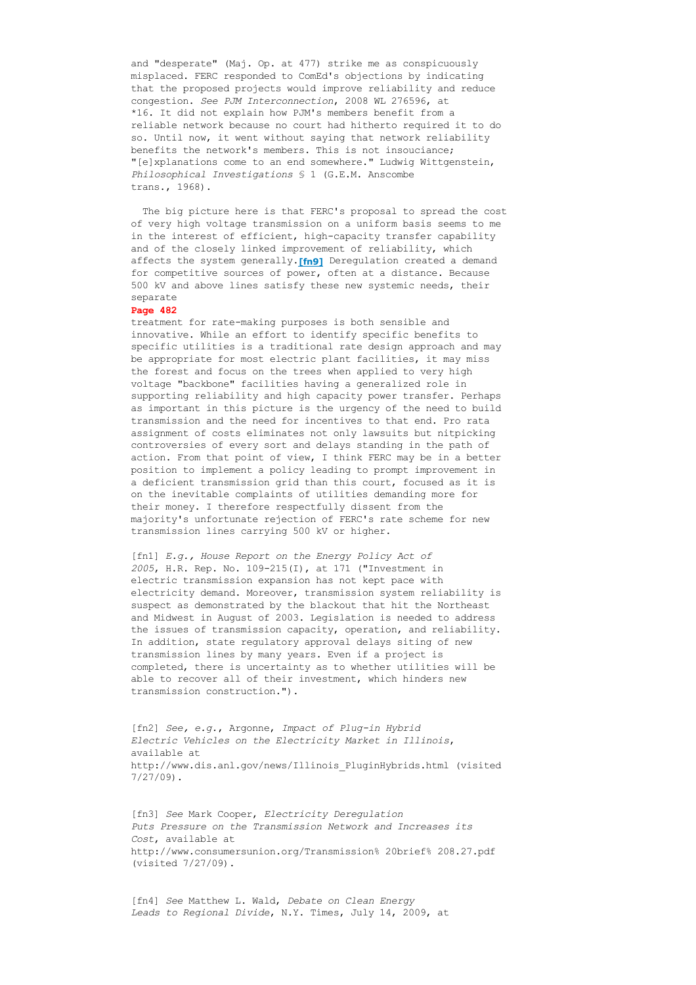and "desperate" (Maj. Op. at 477) strike me as conspicuously misplaced. FERC responded to ComEd's objections by indicating that the proposed projects would improve reliability and reduce congestion. *See PJM Interconnection*, 2008 WL 276596, at \*16. It did not explain how PJM's members benefit from a reliable network because no court had hitherto required it to do so. Until now, it went without saying that network reliability benefits the network's members. This is not insouciance; "[e]xplanations come to an end somewhere." Ludwig Wittgenstein, *Philosophical Investigations* § 1 (G.E.M. Anscombe trans., 1968).

 The big picture here is that FERC's proposal to spread the cost of very high voltage transmission on a uniform basis seems to me in the interest of efficient, high-capacity transfer capability and of the closely linked improvement of reliability, which affects the system generally.**[fn9]** Deregulation created a demand for competitive sources of power, often at a distance. Because 500 kV and above lines satisfy these new systemic needs, their separate

## **Page 482**

treatment for rate-making purposes is both sensible and innovative. While an effort to identify specific benefits to specific utilities is a traditional rate design approach and may be appropriate for most electric plant facilities, it may miss the forest and focus on the trees when applied to very high voltage "backbone" facilities having a generalized role in supporting reliability and high capacity power transfer. Perhaps as important in this picture is the urgency of the need to build transmission and the need for incentives to that end. Pro rata assignment of costs eliminates not only lawsuits but nitpicking controversies of every sort and delays standing in the path of action. From that point of view, I think FERC may be in a better position to implement a policy leading to prompt improvement in a deficient transmission grid than this court, focused as it is on the inevitable complaints of utilities demanding more for their money. I therefore respectfully dissent from the majority's unfortunate rejection of FERC's rate scheme for new transmission lines carrying 500 kV or higher.

[fn1] *E.g., House Report on the Energy Policy Act of* 2005, H.R. Rep. No. 109-215(I), at 171 ("Investment in electric transmission expansion has not kept pace with electricity demand. Moreover, transmission system reliability is suspect as demonstrated by the blackout that hit the Northeast and Midwest in August of 2003. Legislation is needed to address the issues of transmission capacity, operation, and reliability. In addition, state regulatory approval delays siting of new transmission lines by many years. Even if a project is completed, there is uncertainty as to whether utilities will be able to recover all of their investment, which hinders new transmission construction.").

[fn2] *See, e.g.*, Argonne, *Impact of Plug-in Hybrid Electric Vehicles on the Electricity Market in Illinois*, available at http://www.dis.anl.gov/news/Illinois\_PluginHybrids.html (visited 7/27/09).

[fn3] *See* Mark Cooper, *Electricity Deregulation Puts Pressure on the Transmission Network and Increases its Cost*, available at http://www.consumersunion.org/Transmission% 20brief% 208.27.pdf (visited 7/27/09).

[fn4] *See* Matthew L. Wald, *Debate on Clean Energy Leads to Regional Divide*, N.Y. Times, July 14, 2009, at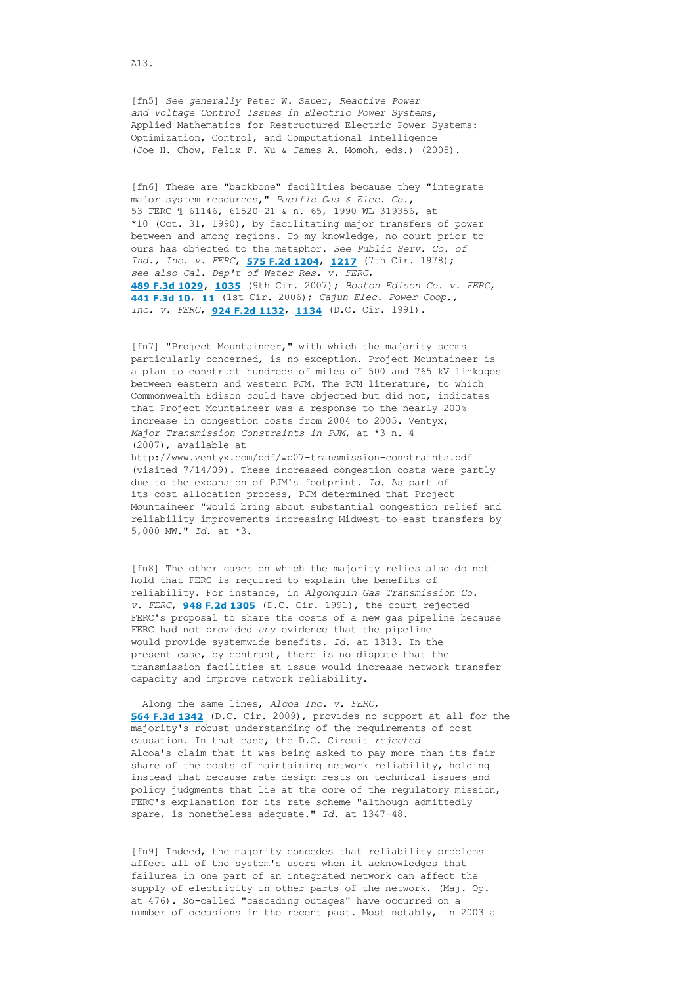[fn5] *See generally* Peter W. Sauer, *Reactive Power and Voltage Control Issues in Electric Power Systems*, Applied Mathematics for Restructured Electric Power Systems: Optimization, Control, and Computational Intelligence (Joe H. Chow, Felix F. Wu & James A. Momoh, eds.) (2005).

[fn6] These are "backbone" facilities because they "integrate major system resources," *Pacific Gas & Elec. Co.*, 53 FERC ¶ 61146, 6152021 & n. 65, 1990 WL 319356, at \*10 (Oct. 31, 1990), by facilitating major transfers of power between and among regions. To my knowledge, no court prior to ours has objected to the metaphor. *See Public Serv. Co. of Ind., Inc. v. FERC*, **[575 F.2d 1204](http://www.loislaw.com/pns/doclink.htp?alias=F7CASE&cite=575+F.2d+1204)**, **[1217](http://www.loislaw.com/pns/doclink.htp?alias=F7CASE&cite=575+F.2d+1204#PG1217)** (7th Cir. 1978); *see also Cal. Dep't of Water Res. v. FERC*, **[489 F.3d 1029](http://www.loislaw.com/pns/doclink.htp?alias=F9CASE&cite=489+F.3d+1029)**, **[1035](http://www.loislaw.com/pns/doclink.htp?alias=F9CASE&cite=489+F.3d+1029#PG1035)** (9th Cir. 2007); *Boston Edison Co. v. FERC*, **[441 F.3d 10](http://www.loislaw.com/pns/doclink.htp?alias=F1CASE&cite=441+F.3d+10)**, **[11](http://www.loislaw.com/pns/doclink.htp?alias=F1CASE&cite=441+F.3d+10#PG11)** (1st Cir. 2006); *Cajun Elec. Power Coop., Inc. v. FERC*, **[924 F.2d 1132](http://www.loislaw.com/pns/doclink.htp?alias=FDCCASE&cite=924+F.2d+1132)**, **[1134](http://www.loislaw.com/pns/doclink.htp?alias=FDCCASE&cite=924+F.2d+1132#PG1134)** (D.C. Cir. 1991).

[fn7] "Project Mountaineer," with which the majority seems particularly concerned, is no exception. Project Mountaineer is a plan to construct hundreds of miles of 500 and 765 kV linkages between eastern and western PJM. The PJM literature, to which Commonwealth Edison could have objected but did not, indicates that Project Mountaineer was a response to the nearly 200% increase in congestion costs from 2004 to 2005. Ventyx, *Major Transmission Constraints in PJM*, at \*3 n. 4 (2007), available at http://www.ventyx.com/pdf/wp07-transmission-constraints.pdf

(visited 7/14/09). These increased congestion costs were partly due to the expansion of PJM's footprint. *Id.* As part of its cost allocation process, PJM determined that Project Mountaineer "would bring about substantial congestion relief and reliability improvements increasing Midwest-to-east transfers by 5,000 MW." *Id.* at \*3.

[fn8] The other cases on which the majority relies also do not hold that FERC is required to explain the benefits of reliability. For instance, in *Algonquin Gas Transmission Co. v. FERC*, **[948 F.2d 1305](http://www.loislaw.com/pns/doclink.htp?alias=FDCCASE&cite=948+F.2d+1305)** (D.C. Cir. 1991), the court rejected FERC's proposal to share the costs of a new gas pipeline because FERC had not provided *any* evidence that the pipeline would provide systemwide benefits. *Id.* at 1313. In the present case, by contrast, there is no dispute that the transmission facilities at issue would increase network transfer capacity and improve network reliability.

 Along the same lines, *Alcoa Inc. v. FERC*, **[564 F.3d 1342](http://www.loislaw.com/pns/doclink.htp?alias=FDCCASE&cite=564+F.3d+1342)** (D.C. Cir. 2009), provides no support at all for the majority's robust understanding of the requirements of cost causation. In that case, the D.C. Circuit *rejected* Alcoa's claim that it was being asked to pay more than its fair share of the costs of maintaining network reliability, holding instead that because rate design rests on technical issues and policy judgments that lie at the core of the regulatory mission, FERC's explanation for its rate scheme "although admittedly spare, is nonetheless adequate." Id. at 1347-48.

[fn9] Indeed, the majority concedes that reliability problems affect all of the system's users when it acknowledges that failures in one part of an integrated network can affect the supply of electricity in other parts of the network. (Maj. Op. at 476). So-called "cascading outages" have occurred on a number of occasions in the recent past. Most notably, in 2003 a

A13.